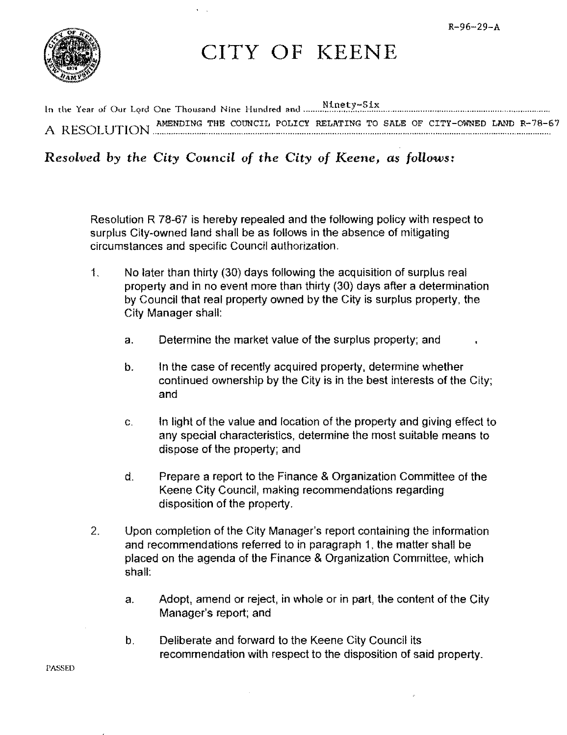

CITY OF KEENE

AMENDING THE COUNCIL POLICY RELATING TO SALE OF CITY-OWNED LAND R-78-67 A RESOLUTION **EXECUTION** 

Resolved by the City Council of the City of Keene, as follows:

Resolution R 78-67 is hereby repealed and the following policy with respect to surplus City-owned land shall be as follows in the absence of mitigating circumstances and specific Council authorization.

- $\mathbf{1}$ No later than thirty (30) days following the acquisition of surplus real property and in no event more than thirty (30) days after a determination by Council that real property owned by the City is surplus property, the **City Manager shall:** 
	- a. Determine the market value of the surplus property; and
	- In the case of recently acquired property, determine whether  $\mathbf b$ . continued ownership by the City is in the best interests of the City; and
	- In light of the value and location of the property and giving effect to  $\mathbf{C}$ . any special characteristics, determine the most suitable means to dispose of the property; and
	- Prepare a report to the Finance & Organization Committee of the d. Keene City Council, making recommendations regarding disposition of the property.
- 2. Upon completion of the City Manager's report containing the information and recommendations referred to in paragraph 1, the matter shall be placed on the agenda of the Finance & Organization Committee, which shall:
	- Adopt, amend or reject, in whole or in part, the content of the City  $a<sub>r</sub>$ Manager's report; and
	- $\mathbf b$ . Deliberate and forward to the Keene City Council its recommendation with respect to the disposition of said property.

**PASSED**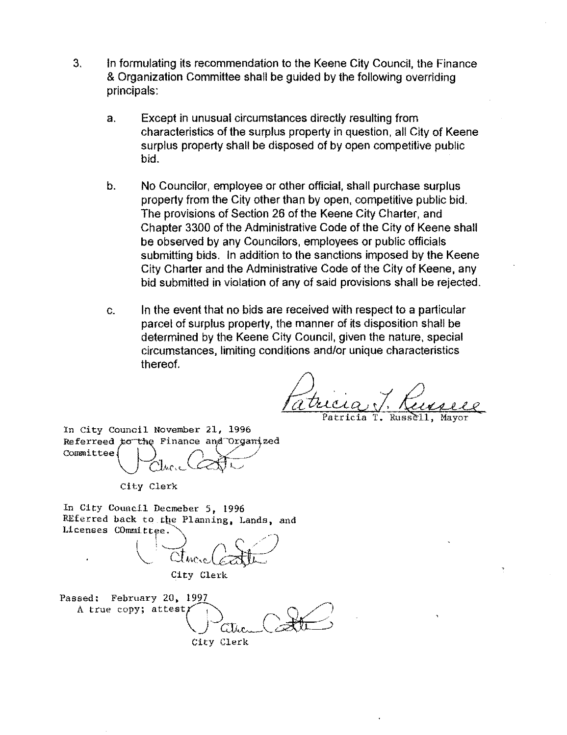- 3. In formulating its recommendation to the Keene City Council, the Finance & Organization Committee shall be guided by the following overriding principals:
	- a. Except in unusual circumstances directly resulting from characteristics of the surplus property in question, all City of Keene surplus property shall be disposed of by open competitive public bid.
	- b. No Councilor, employee or other official. shall purchase surplus property from the City other than by open, competitive public bid. The provisions of Section 26 of the Keene City Charter, and Chapter 3300 of the Administrative Code of the City of Keene shall be observed by any Councilors, employees or public officials submitting bids. In addition to the sanctions imposed by the Keene City Charter and the Administrative Code of the City of Keene. any bid submitted in violation of any of said provisions shall be rejected.
	- c. In the event that no bids are received with respect to a particular parcel of surplus property, the manner of its disposition shall be determined by the Keene City Council, given the nature, special circumstances, limiting conditions and/or unique characteristics thereof.

atricia:  $T$ .

In City Council November 21, 1996 Referreed to the Finance and Organized<br>Committee **Q**  $Clmc$   $Cloc$ 

City Clerk

In City Council Decmeber 5, 1996 REferred back to the Planning, Lands, and Licenses COmmittee.

 $\cup$  cture ( $\epsilon$ ath) City Clerk

Passed: February 20, 1997 A true copy; attest;  $\bigcup$  attending  $\bigcup$ City Clerk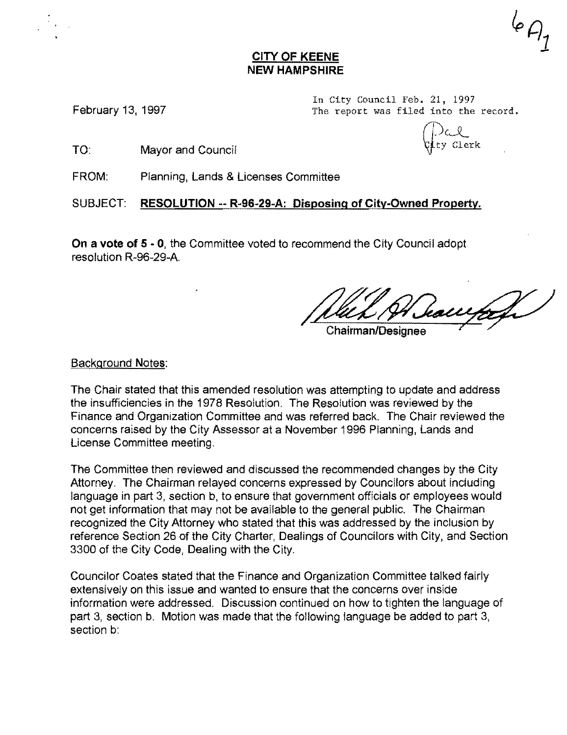#### CITY OF KEENE NEW HAMPSHIRE

In City Council Feb. 21, 1997 The report was filed into the record.

February 13, 1997

(L) al<br>Gety Clerk

TO: Mayor and Council

FROM: Planning, Lands & Licenses Committee

SUBJECT: RESOLUTION -- R-96-29-A: Disposing of City-Owned Property.

On a vote of 5 - 0, the Committee voted to recommend the City Council adopt resolution R-96-29-A

hawfa

Chairman/Designee

Background Notes:

The Chair stated that this amended resolution was attempting to update and address the insufficiencies in the 1978 Resolution. The Resolution was reviewed by the Finance and Organization Committee and was referred back. The Chair reviewed the concerns raised by the City Assessor at a November 1996 Planning, Lands and License Committee meeting.

The Committee then reviewed and discussed the recommended changes by the City Attorney. The Chairman relayed concerns expressed by Councilors about including language in part 3, section b, to ensure that government officials or employees would not get information that may not be available to the general public. The Chairman recognized the City Attorney who stated that this was addressed by the inclusion by reference Section 26 of the City Charter, Dealings of Councilors with City, and Section 3300 of the City Code, Dealing with the City.

Councilor Coates stated that the Finance and Organization Committee talked fairly extensively on this issue and wanted to ensure that the concerns over inside information were addressed. Discussion continued on how to tighten the language of part 3, section b. Motion was made that the following language be added to part 3, section b: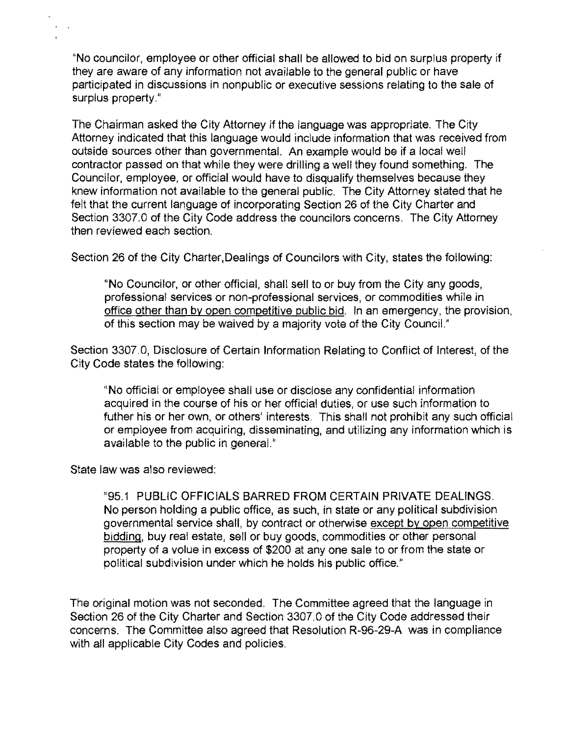"No councilor, employee or other official shall be allowed to bid on surplus property if they are aware of any information not available to the general public or have participated in discussions in nonpublic or executive sessions relating to the sale of surplus property."

The Chairman asked the City Attorney if the language was appropriate, The City Attorney indicated that this language would include information that was received from outside sources other than governmental. An example would be if a local well contractor passed on that while they were drilling a well they found something. The Councilor, employee, or official would have to disqualify themselves because they knew information not available to the general public, The City Attorney stated that he felt that the current language of incorporating Section 26 of the City Charter and Section 3307,0 of the City Code address the councilors concerns. The City Attorney then reviewed each section,

Section 26 of the City Charter, Dealings of Councilors with City, states the following:

"No Councilor, or other official, shall sell to or buy from the City any goods, professional services or non-professional services, or commodities while in office other than by open competitive public bid. In an emergency, the provision, of this section may be waived by a majority vote of the City CounciL"

Section 3307,0, Disclosure of Certain Information Relating to Conflict of Interest, of the City Code states the following:

"No official or employee shall use or disclose any confidential information acquired in the course of his or her official duties, or use such information to futher his or her own, or others' interests, This shall not prohibit any such official or employee from acquiring, disseminating, and utilizing any information which is available to the public in general."

State law was also reviewed:

"95.1 PUBLIC OFFICIALS BARRED FROM CERTAIN PRIVATE DEALINGS, No person holding a public office, as such, in state or any political subdivision governmental service shall, by contract or otherwise except by open competitive bidding, buy real estate, sell or buy goods, commodities or other personal property of a volue in excess of \$200 at anyone sale to or from the state or political subdivision under which he holds his public office."

The original motion was not seconded. The Committee agreed that the language in Section 26 of the City Charter and Section 3307.0 of the City Code addressed their concerns. The Committee also agreed that Resolution R-96-29-A was in compliance with all applicable City Codes and policies.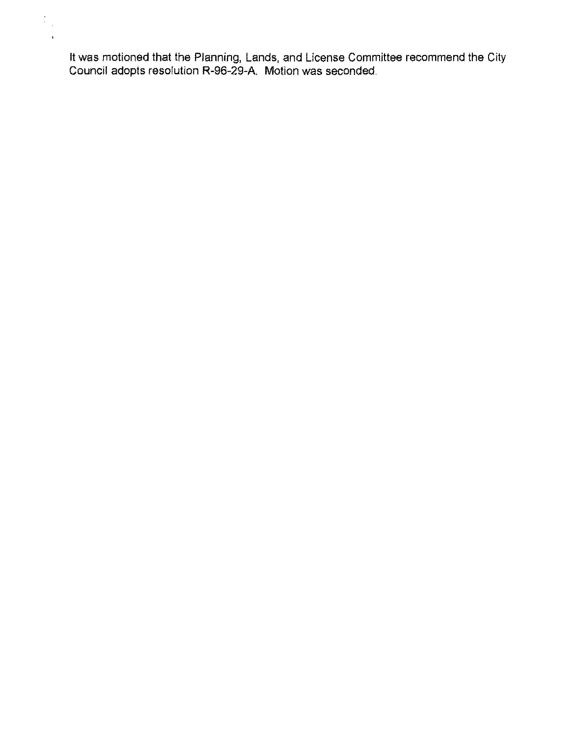**It** was motioned that the Planning, Lands, and License Committee recommend the City Council adopts resolution R-96-29-A. Motion was seconded,

 $\begin{array}{c} \frac{1}{2} \\ \frac{1}{2} \\ \frac{1}{2} \end{array}$  $\bar{a}$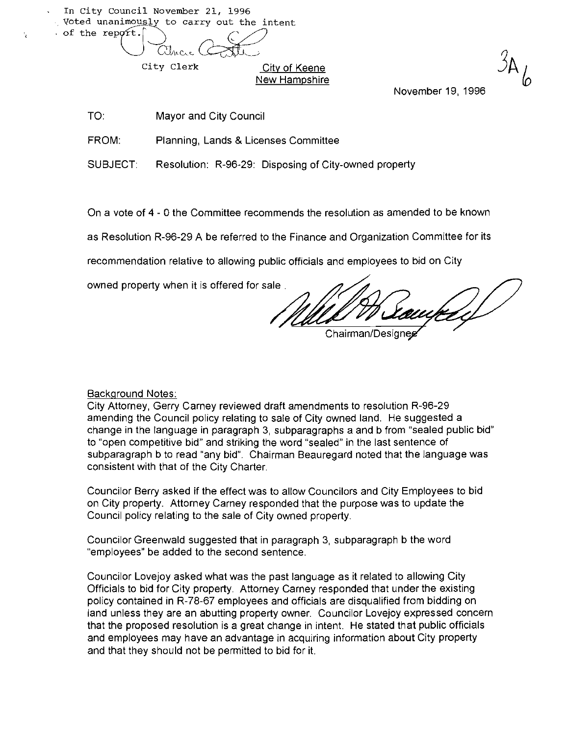In City Council November 21, 1996 . Voted unanimously to carry out the intent of the report. uncil November 21, 1996<br>
imously to carry out the intent<br>
Other Control of the state of the state of the state of the state of the state of the state of the state of the state of the state of the state of the state of the

 $\mathbf{r}_\perp$ 

City Clerk City of Keene New Hampshire

TO: Mayor and City Council

FROM: Planning, Lands & Licenses Committee

SUBJECT: Resolution: R-96-29: Disposing of City-owned property

On a vote of 4 - 0 the Committee recommends the resolution as amended to be known

as Resolution R-96-29 A be referred to the Finance and Organization Committee for its

recommendation relative to allowing public officials and employees to bid on City

owned property when it is offered for sale.

November 19, 1996

Chairman/Designee

Background Notes:

City Attorney, Gerry Carney reviewed draft amendments to resolution R-96-29 amending the Council policy relating to sale of City owned land. He suggested a change in the language in paragraph 3, subparagraphs a and b from "sealed public bid" to "open competitive bid" and striking the word "sealed" in the last sentence of subparagraph b to read "any bid". Chairman Beauregard noted that the language was consistent with that of the City Charter.

Councilor Berry asked if the effect was to allow Councilors and City Ernployees to bid on City property. Attorney Carney responded that the purpose was to update the Council policy relating to the sale of City owned property.

Councilor Greenwald suggested that in paragraph 3, subparagraph b the word "employees" be added to the second sentence.

Councilor Lovejoy asked what was the past language as it related to allowing City Officials to bid for City property Attorney Carney responded that under the existing policy contained in R-78-67 employees and officials are disqualified from bidding on land unless they are an abutting property owner. Councilor Lovejoy expressed concern that the proposed resolution is a great change in intent. He stated that public officials and employees may have an advantage in acquiring information about City property and that they should not be permitted to bid for it.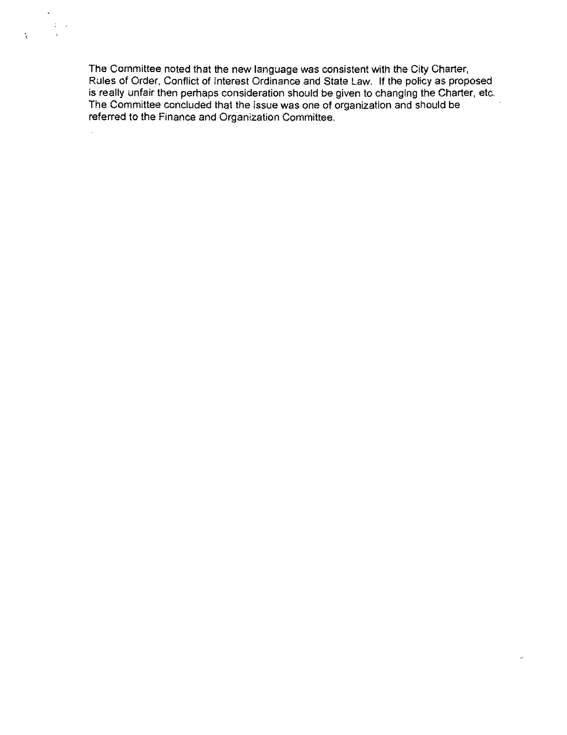The Committee noted that the new language was consistent with the City Charter, Rules of Order, Conflict of Interest Ordinance and State Law. If the policy as proposed is really unfair then perhaps consideration should be given to changing the Charter, etc, The Committee concluded that the issue was one of organization and should be referred to the Finance and Organization Committee,

 $\omega$ 

 $\mathcal{L}^{\pm}$  $\sim 10\,$  s

 $\sim$ 

÷.

 $\frac{1}{\sqrt{2}}$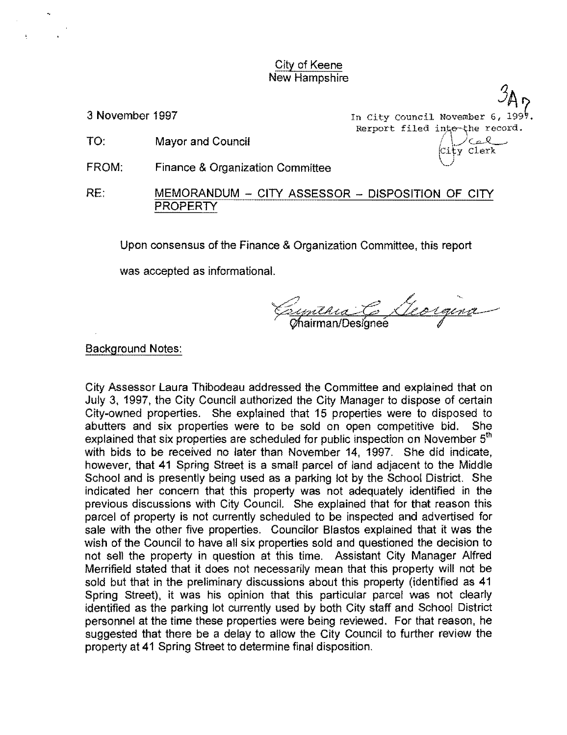City of Keene New Hampshire

TO: Mayor and Council

- FROM: Finance & Organization Committee
- RE: MEMORANDUM CITY ASSESSOR DISPOSITION OF CITY **PROPERTY**

Upon consensus of the Finance & Organization Committee, this report

was accepted as informational.

Espierra C Georgina

#### Background Notes:

City Assessor Laura Thibodeau addressed the Committee and explained that on July 3, 1997, the City Council authorized the City Manager to dispose of certain City-owned properties. She explained that 15 properties were to disposed to abutters and six properties were to be sold on open competitive bid. She explained that six properties are scheduled for public inspection on November  $5<sup>th</sup>$ with bids to be received no later than November 14, 1997. She did indicate, however. that 41 Spring Street is a small parcel of land adjacent to the Middle School and is presently being used as a parking lot by the School District. She indicated her concern that this property was not adequately identified in the previous discussions with City Council. She explained that for that reason this parcel of property is not currently scheduled to be inspected and advertised for sale with the other five properties. Councilor Blastos explained that it was the wish of the Council to have all six properties sold and questioned the decision to not sell the property in question at this time. Assistant City Manager Alfred Merrifield stated that it does not necessarily mean that this property will not be sold but that in the preliminary discussions about this property (identified as 41 Spring Street). it was his opinion that this particular parcel was not clearly identified as the parking lot currently used by both City staff and School District personnel at the time these properties were being reviewed. For that reason. he suggested that there be a delay to allow the City Council to further review the property at 41 Spring Street to determine final disposition.

 $\mathcal{I}$ A 3 November 1997 **In City Council November 6, 199**<sup> $\frac{1}{2}$ </sup> Rerport filed into the record. y Clerk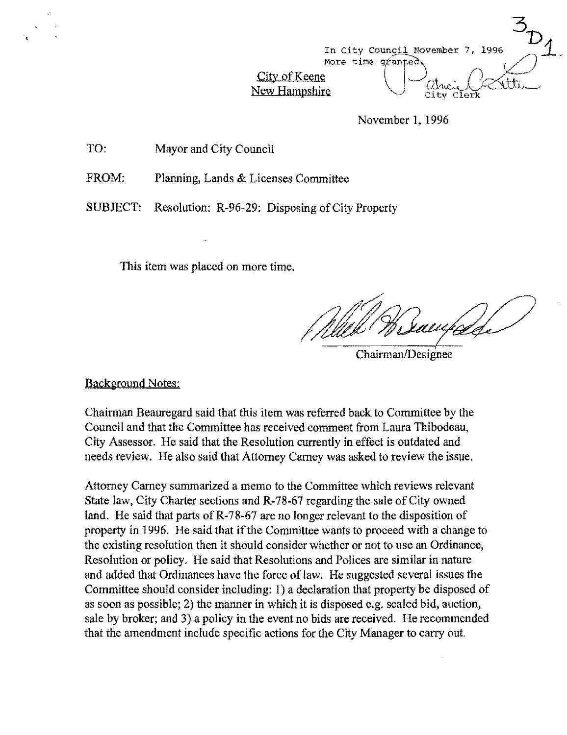

November 1, 1996

TO: Mayor and City Council

FROM: Planning, Lands & Licenses Committee

SUBJECT: Resolution: R-96-29: Disposing of City Property

This item was placed on more time.

Chairman/Designee

Background Notes:

Chairman Beauregard said that this item was referred back to Committee by the Council and that the Committee has rcceived comment from Laura Thibodeau, City Assessor. Hc said that the Resolution currently in effect is outdated and needs review. He also said that Attorney Carney was asked to review the issue.

Attorney Carney summarized a memo to the Committee which reviews relevant State law, City Charter sections and R-78-67 regarding the sale of City owned land. He said that parts of R-78-67 are no longer relevant to the disposition of property in 1996. He said that if the Committee wants to proceed with a change to the existing resolution then it should consider whether or not to use an Ordinance, Resolution or policy. He said that Resolutions and Polices are similar in nature and added that Ordinances have the force of law. He suggested several issues the Committee should consider including: I) a declaration that property be disposed of as soon as possible; 2) the manner in which it is disposed e.g. sealed bid, auction, sale by broker; and 3) a policy in the event no bids are received. He recommended that the amendment include specific actions for the City Manager to carry out.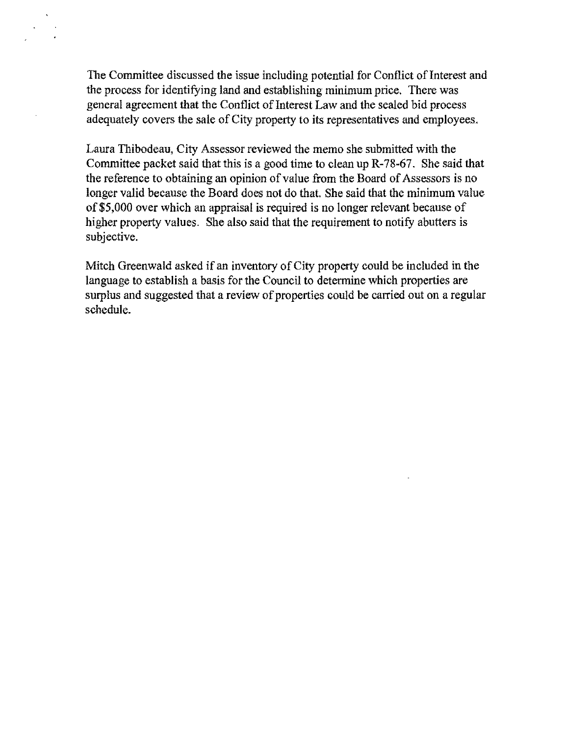The Committee discussed the issue including potential for Conflict of Interest and the process for identifying land and establishing minimum price. There was general agreement that the Conflict of Interest Law and the sealed bid process adequately covers the sale of City property to its representatives and employees.

Laura Thibodeau, City Assessor reviewed the memo she submitted with the Committee packet said that this is a good time to clean up R-78-67. She said that the reference to obtaining an opinion of value from the Board of Assessors is no longer valid because the Board does not do that. She said that the minimum value of\$5,000 over which an appraisal is required is no longer relevant because of higher property values. She also said that the requirement to notify abutters is subjective.

Mitch Greenwald asked if an inventory of City property could be included in the language to establish a basis for the Council to determine which properties are surplus and suggested that a review of properties could be carried out on a regular schedule.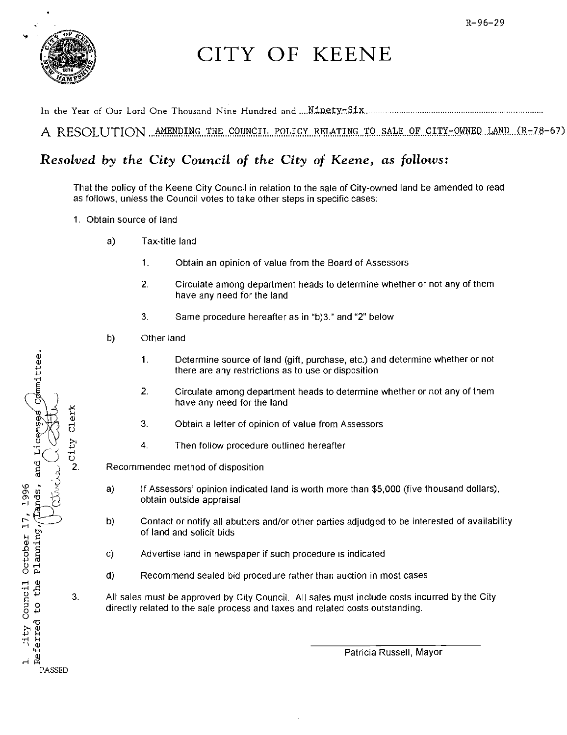

Lands, and Licenses Committee.

lity Council October 17, 1996

Planning,

Referred to the

**PASSED** 

Clerk

 $\sim$  City

## CITY OF KEENE

A RESOLUTION AMENDING THE COUNCIL POLICY RELATING TO SALE OF CITY-OWNED LAND (R-78-67)

### Resolved by the City Council of the City of Keene, as follows:

That the policy of the Keene City Council in relation to the sale of City-owned land be amended to read as follows, unless the Council votes to take other steps in specific cases:

- 1. Obtain source of land
	- $a)$ Tax-title land
		- $1<sub>1</sub>$ Obtain an opinion of value from the Board of Assessors
		- $2.$ Circulate among department heads to determine whether or not any of them have any need for the land
		- 3 Same procedure hereafter as in "b)3," and "2" below
	- b) Other land
		- Determine source of land (gift, purchase, etc.) and determine whether or not  $1.$ there are any restrictions as to use or disposition
		- $2.$ Circulate among department heads to determine whether or not any of them have any need for the land
		- $3.$ Obtain a letter of opinion of value from Assessors
		- $\overline{4}$ . Then follow procedure outlined hereafter

Recommended method of disposition

- $a)$ If Assessors' opinion indicated land is worth more than \$5,000 (five thousand dollars), obtain outside appraisal
- Contact or notify all abutters and/or other parties adjudged to be interested of availability b) of land and solicit bids
- Advertise land in newspaper if such procedure is indicated  $C)$
- $d)$ Recommend sealed bid procedure rather than auction in most cases
- $3<sub>1</sub>$ All sales must be approved by City Council. All sales must include costs incurred by the City directly related to the sale process and taxes and related costs outstanding.

Patricia Russell, Mayor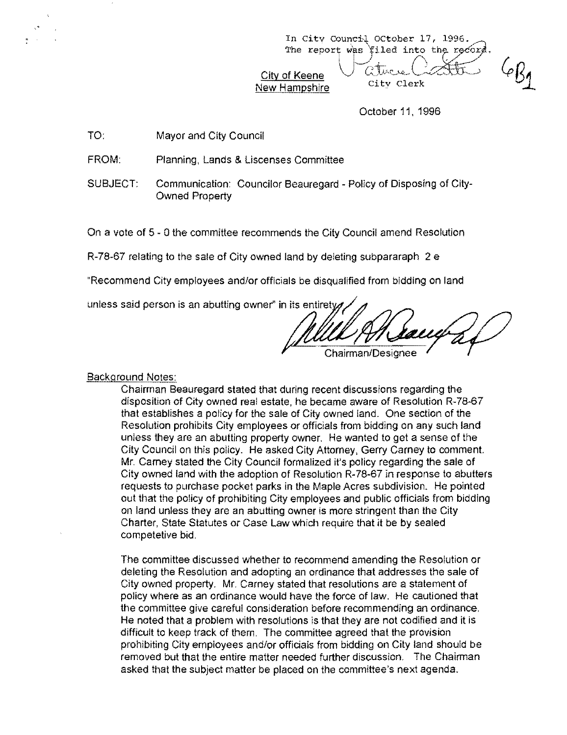In City Council OCtober 17, 1996.<br>The report was filed into the rec  $$$ iled into the record. City of Keene Jatuce ative Cather 6/3

<u>New Hampshire</u>

October 11, 1996

TO: Mayor and City Council

FROM: Planning, Lands & Liscenses Committee

SUBJECT: Communication: Councilor Beauregard - Policy of Disposing of City-Owned Property

On a vote of 5 - 0 the committee recommends the City Council amend Resolution

R-78-67 relating to the sale of City owned land by deleting subpararaph 2 e

"Recommend City employees and/or officials be disqualified from bidding on land

unless said person is an abutting owner" in its entirety

Chairman/Designee

Background Notes:

Chairman Beauregard stated that during recent discussions regarding the disposition of City owned real estate, he became aware of Resolution R-78-67 that establishes a policy for the sale of City owned land. One section of the Resolution prohibits City employees or officials from bidding on any such land unless they are an abutting property owner. He wanted to get a sense of the City Council on this policy. He asked City Attorney, Gerry Carney to comment. Mr. Carney stated the City Council formalized it's policy regarding the sale of City owned land with the adoption of Resolution R-78-67 in response to abutters requests to purchase pocket parks in the Maple Acres subdivision. He pointed out that the policy of prohibiting City employees and public officials from bidding on land unless they are an abutting owner is more stringent than the City Charter, State Statutes or Case Law which require that it be by sealed competetive bid.

The committee discussed whether to recommend amending the Resolution or deleting the Resolution and adopting an ordinance that addresses the sale of City owned property. Mr. Carney stated that resolutions are a statement of policy where as an ordinance would have the force of law. He cautioned that the committee give careful consideration before recommending an ordinance. He noted that a problem with resolutions is that they are not codified and it is difficult to keep track of them. The committee agreed that the provision prohibiting City employees and/or officials from bidding on City land should be removed but that the entire matter needed further discussion. The Chairman asked that the subject matter be placed on the committee's next agenda.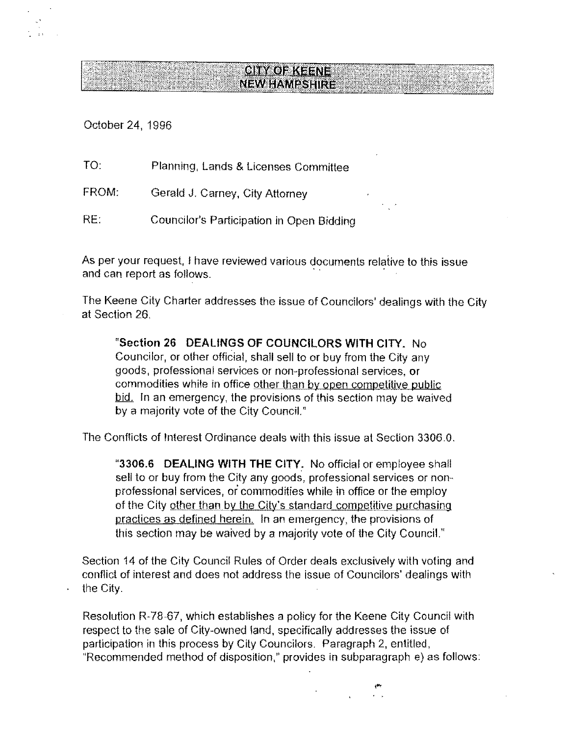# **NEW HAMPSHIRE**

October 24, 1996

TO: Planning, Lands & Licenses Committee FROM: Gerald J, Carney, City Attorney RE: Councilor's Participation in Open Bidding

As per your request, I have reviewed various documents relative to this issue and can report as follows.

The Keene City Charter addresses the issue of Councilors' dealings with the City at Section 26,

**CITY OF KEENE** 

"Section 26 DEALINGS OF COUNCILORS WITH CITY. No Councilor, or other official, shall sell to or buy from the City any goods, professional services or non-professional services, or commodities while in office other than by open competitive public bid. In an emergency, the provisions of this section may be waived by a majority vote of the City Council."

The Conflicts of Interest Ordinance deals with this issue at Section 3306,0,

"3306.6 DEALING WITH THE CITY: No official or employee shall sell to or buy from the City any goods, professional services or nonprofessional services, or commodities while in office or the employ of the City other than by the City's standard competitive purchasing practices as defined herein, In an emergency, the provisions of this section may be waived by a majority vote of the City Council."

Section 14 of the City Council Rules of Order deals exclusively with voting and conftict of interest and does not address the issue of Councilors' dealings with the City,

Resolution R-78-67, which establishes a policy for the Keene City Council with respect to the sale of City-owned land, specifically addresses the issue of participation in this process by City Councilors, Paragraph 2, entitled, "Recommended method of disposition," provides in subparagraph e) as follows:

, ..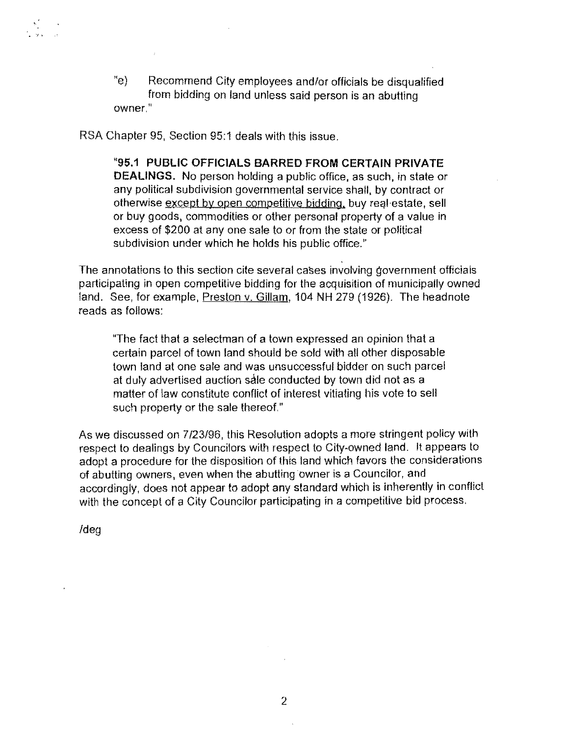"e) Recommend City employees and/or officials be disqualified from bidding on land unless said person is an abutting owner,"

RSA Chapter 95, Section 95:1 deals with this issue,

"95.1 PUBLIC OFFICIALS BARRED FROM CERTAIN PRIVATE DEALINGS. No person holding a public office, as such, in state or any political subdivision governmental service shall, by contract or otherwise except by open competitive bidding, buy real estate, sell or buy goods, commodities or other personal property of a value in excess of \$200 at any one sale to or from the state or political subdivision under which he holds his public office."

The annotations to this section cite several cases involving government officials participating in open competitive bidding for the acquisition of municipally owned land. See, for example, Preston v. Gillam, 104 NH 279 (1926). The headnote reads as follows:

"The fact that a selectman of a town expressed an opinion that a certain parcel of town land should be sold with all other disposable town land at one sale and was unsuccessful bidder on such parcel at duly advertised auction sale conducted by town did not as a matter of law constitute conflict of interest vitiating his vote to sell such property or the sale thereof,"

As we discussed on 7/23/96, this Resolution adopts a more stringent policy with respect to dealings by Councilors with respect to City-owned land. It appears to adopt a procedure for the disposition of this land which favors the considerations of abutting owners, even when the abutting owner is a Councilor, and accordingly, does not appear to adopt any standard which is inherently in conflict with the concept of a City Councilor participating in a competitive bid process.

Ideg

· '/,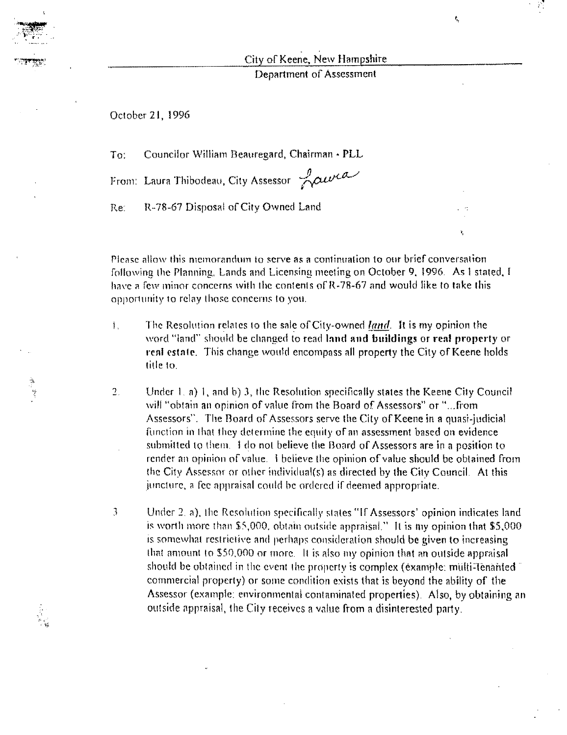City of Keene, New Hampshire

¢.,

'n,

Department of Assessment

October 21, 1996

Councilor William Beauregard, Chairman - PLL  $Tor$ 

From: Laura Thibodeau, City Assessor Lawra

Re: R-78-67 Disposal of City Owned Land

Please allow this memorandum to serve as a continuation to our brief conversation following the Planning, Lands and Licensing meeting on October 9, 1996. As I stated, I have a few minor concerns with the contents of R-78-67 and would like to take this opportunity to relay those concerns to you.

- The Resolution relates to the sale of City-owned *land*. It is my opinion the  $\mathbf{L}$ word "land" should be changed to read land and buildings or real property or real estate. This change would encompass all property the City of Keene holds title to.
- $\overline{2}$ Under 1, a) 1, and b) 3, the Resolution specifically states the Keene City Council will "obtain an opinion of value from the Board of Assessors" or "...from Assessors". The Board of Assessors serve the City of Keene in a quasi-judicial function in that they determine the equity of an assessment based on evidence submitted to them. I do not believe the Board of Assessors are in a position to render an opinion of value. I believe the opinion of value should be obtained from the City Assessor or other individual(s) as directed by the City Council. At this juncture, a fee appraisal could be ordered if deemed appropriate.
- $\begin{array}{c} \begin{array}{c} \begin{array}{c} \begin{array}{c} \end{array} \end{array} \end{array} \end{array}$ Under 2, a), the Resolution specifically states "If Assessors' opinion indicates land is worth more than \$5,000, obtain outside appraisal." It is my opinion that \$5,000 is somewhat restrictive and perhaps consideration should be given to increasing that amount to \$50,000 or more. It is also my opinion that an outside appraisal should be obtained in the event the property is complex (example; multi-Tenanted" commercial property) or some condition exists that is beyond the ability of the Assessor (example: environmental contaminated properties). Also, by obtaining an outside appraisal, the City receives a value from a disinterested party.